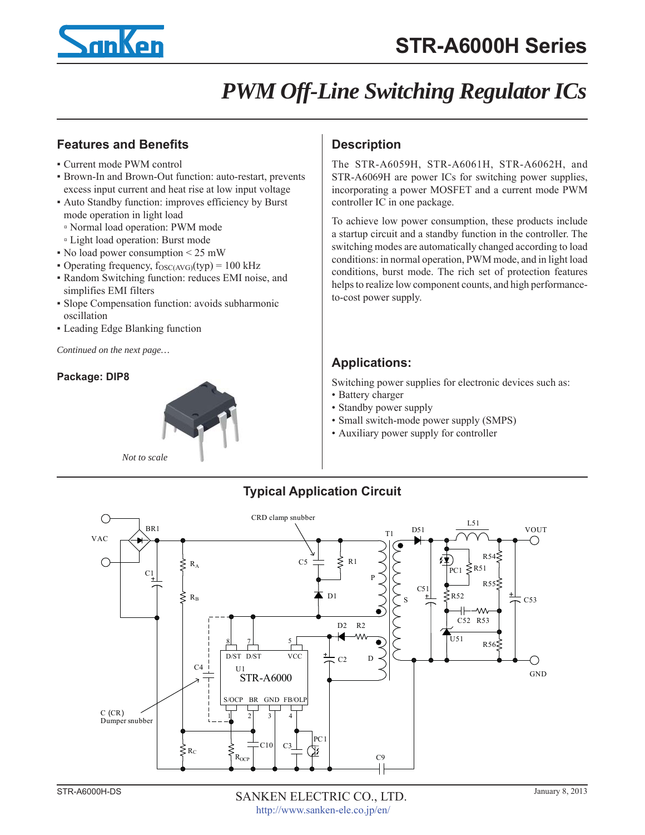

## *PWM Off-Line Switching Regulator ICs*

### **Features and Benefits**

- Current mode PWM control
- Brown-In and Brown-Out function: auto-restart, prevents excess input current and heat rise at low input voltage
- Auto Standby function: improves efficiency by Burst mode operation in light load
- Normal load operation: PWM mode
- Light load operation: Burst mode
- $\bullet$  No load power consumption  $\leq$  25 mW
- Operating frequency,  $f_{\text{OSC(AVG)}}(typ) = 100 \text{ kHz}$
- Random Switching function: reduces EMI noise, and simplifies EMI filters
- Slope Compensation function: avoids subharmonic oscillation
- Leading Edge Blanking function

*Continued on the next page…*

### **Package: DIP8**



### **Description**

The STR-A6059H, STR-A6061H, STR-A6062H, and STR-A6069H are power ICs for switching power supplies, incorporating a power MOSFET and a current mode PWM controller IC in one package.

To achieve low power consumption, these products include a startup circuit and a standby function in the controller. The switching modes are automatically changed according to load conditions: in normal operation, PWM mode, and in light load conditions, burst mode. The rich set of protection features helps to realize low component counts, and high performanceto-cost power supply.

## **Applications:**

Switching power supplies for electronic devices such as:

- Battery charger
- Standby power supply
- Small switch-mode power supply (SMPS)
- Auxiliary power supply for controller

## **Typical Application Circuit**

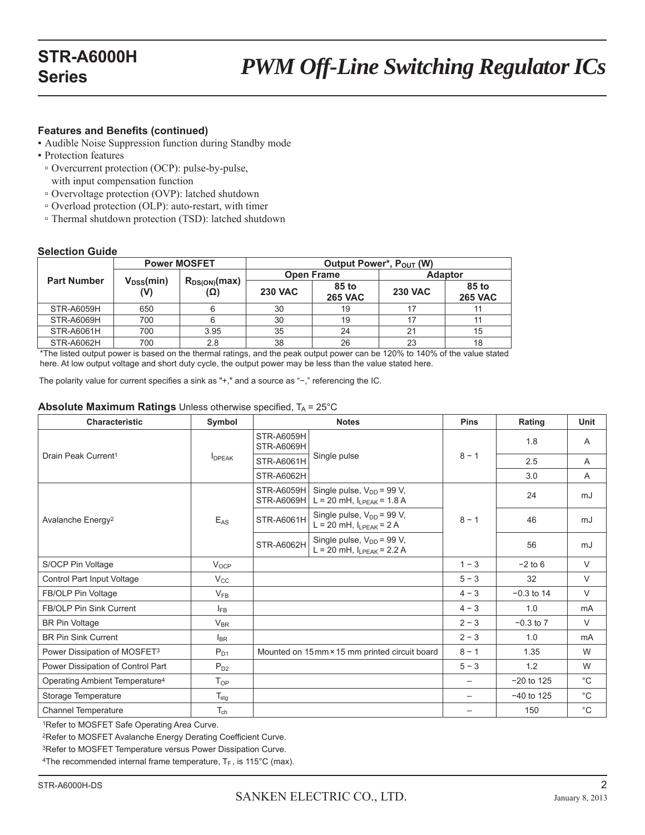### **Features and Benefits (continued)**

- Audible Noise Suppression function during Standby mode
- Protection features
- Overcurrent protection (OCP): pulse-by-pulse, with input compensation function
- Overvoltage protection (OVP): latched shutdown
- Overload protection (OLP): auto-restart, with timer
- Thermal shutdown protection (TSD): latched shutdown

#### **Selection Guide**

|                    |                        | <b>Power MOSFET</b>      | Output Power*, P <sub>OUT</sub> (W) |                         |                |                         |  |
|--------------------|------------------------|--------------------------|-------------------------------------|-------------------------|----------------|-------------------------|--|
| <b>Part Number</b> |                        | $R_{DS(ON)}(max)$<br>(Ω) |                                     | <b>Open Frame</b>       | <b>Adaptor</b> |                         |  |
|                    | $V_{\text{DSS}}$ (min) |                          | <b>230 VAC</b>                      | 85 to<br><b>265 VAC</b> | <b>230 VAC</b> | 85 to<br><b>265 VAC</b> |  |
| <b>STR-A6059H</b>  | 650                    |                          | 30                                  | 19                      |                |                         |  |
| <b>STR-A6069H</b>  | 700                    |                          | 30                                  | 19                      |                |                         |  |
| <b>STR-A6061H</b>  | 700                    | 3.95                     | 35                                  | 24                      | 21             | 15                      |  |
| STR-A6062H         | 700<br>$\cdots$        | 2.8                      | 38<br>$\cdots$                      | 26                      | 23             | 18                      |  |

\*The listed output power is based on the thermal ratings, and the peak output power can be 120% to 140% of the value stated here. At low output voltage and short duty cycle, the output power may be less than the value stated here.

The polarity value for current specifies a sink as "+," and a source as "−," referencing the IC.

#### **Absolute Maximum Ratings** Unless otherwise specified,  $T_A = 25^\circ C$

| Characteristic                             | Symbol                    |                                               | <b>Notes</b>                                                              | <b>Pins</b>              | Rating        | <b>Unit</b>  |
|--------------------------------------------|---------------------------|-----------------------------------------------|---------------------------------------------------------------------------|--------------------------|---------------|--------------|
|                                            |                           | <b>STR-A6059H</b><br><b>STR-A6069H</b>        |                                                                           | $8 - 1$                  | 1.8           | $\mathsf{A}$ |
| Drain Peak Current <sup>1</sup>            | <b>I</b> <sub>DPEAK</sub> | <b>STR-A6061H</b>                             | Single pulse                                                              |                          | 2.5           | A            |
|                                            |                           | <b>STR-A6062H</b>                             |                                                                           |                          | 3.0           | A            |
|                                            |                           | <b>STR-A6059H</b><br><b>STR-A6069H</b>        | Single pulse, $V_{DD}$ = 99 V,<br>$L = 20$ mH, $I_{LPEAK} = 1.8$ A        |                          | 24            | mJ           |
| Avalanche Energy <sup>2</sup>              | $E_{AS}$                  | <b>STR-A6061H</b>                             | Single pulse, $V_{DD}$ = 99 V,<br>$L = 20$ mH, $I_{LPEAK} = 2$ A          | $8 - 1$                  | 46            | mJ           |
|                                            |                           | <b>STR-A6062H</b>                             | Single pulse, V <sub>DD</sub> = 99 V,<br>$L = 20$ mH, $I_{LPEAK} = 2.2$ A |                          | 56            | mJ           |
| S/OCP Pin Voltage                          | $V_{OCP}$                 |                                               |                                                                           | $1 - 3$                  | $-2$ to 6     | $\vee$       |
| Control Part Input Voltage                 | $V_{\rm CC}$              |                                               |                                                                           | $5 - 3$                  | 32            | V            |
| FB/OLP Pin Voltage                         | $V_{FB}$                  |                                               |                                                                           | $4 - 3$                  | $-0.3$ to 14  | $\vee$       |
| FB/OLP Pin Sink Current                    | $I_{FB}$                  |                                               |                                                                           | $4 - 3$                  | 1.0           | mA           |
| <b>BR Pin Voltage</b>                      | $V_{BR}$                  |                                               |                                                                           | $2 - 3$                  | $-0.3$ to $7$ | $\vee$       |
| <b>BR Pin Sink Current</b>                 | $I_{BR}$                  |                                               |                                                                           | $2 - 3$                  | 1.0           | mA           |
| Power Dissipation of MOSFET3               | $P_{D1}$                  | Mounted on 15mm × 15 mm printed circuit board |                                                                           | $8 - 1$                  | 1.35          | W            |
| Power Dissipation of Control Part          | $P_{D2}$                  |                                               |                                                                           | $5 - 3$                  | 1.2           | W            |
| Operating Ambient Temperature <sup>4</sup> | $T_{OP}$                  |                                               |                                                                           | $\overline{\phantom{0}}$ | $-20$ to 125  | $^{\circ}C$  |
| Storage Temperature                        | $T_{\text{stg}}$          |                                               |                                                                           |                          | $-40$ to 125  | $^{\circ}$ C |
| <b>Channel Temperature</b>                 | $T_{ch}$                  |                                               |                                                                           |                          | 150           | $^{\circ}$ C |

1Refer to MOSFET Safe Operating Area Curve.

2Refer to MOSFET Avalanche Energy Derating Coefficient Curve.

3Refer to MOSFET Temperature versus Power Dissipation Curve.

<sup>4</sup>The recommended internal frame temperature,  $T_F$ , is 115°C (max).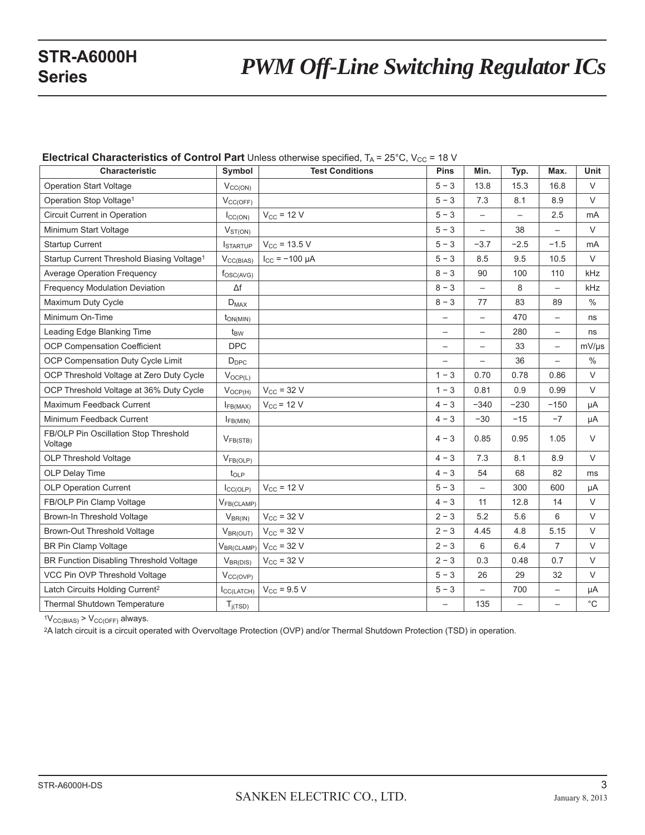# **STR-A6000H**<br>**PWM Off-Line Switching Regulator ICs**

| Characteristic                                         | Symbol                      | <b>Test Conditions</b> | <b>Pins</b>              | Min.                     | Typ.                     | Max.                     | Unit              |
|--------------------------------------------------------|-----------------------------|------------------------|--------------------------|--------------------------|--------------------------|--------------------------|-------------------|
|                                                        |                             |                        |                          |                          |                          |                          |                   |
| <b>Operation Start Voltage</b>                         | $V_{CC(ON)}$                |                        | $5 - 3$                  | 13.8                     | 15.3                     | 16.8                     | $\vee$            |
| Operation Stop Voltage <sup>1</sup>                    | $V_{CC(OFF)}$               |                        | $5 - 3$                  | 7.3                      | 8.1                      | 8.9                      | $\vee$            |
| Circuit Current in Operation                           | $I_{CC(ON)}$                | $V_{CC}$ = 12 V        | $5 - 3$                  | $\overline{\phantom{0}}$ | $\qquad \qquad -$        | 2.5                      | mA                |
| Minimum Start Voltage                                  | $V_{ST(ON)}$                |                        | $5 - 3$                  | $\overline{\phantom{a}}$ | 38                       | $\overline{\phantom{0}}$ | $\vee$            |
| <b>Startup Current</b>                                 | <b>I</b> STARTUP            | $V_{CC}$ = 13.5 V      | $5 - 3$                  | $-3.7$                   | $-2.5$                   | $-1.5$                   | mA                |
| Startup Current Threshold Biasing Voltage <sup>1</sup> | $V_{CC(BIAS)}$              | $I_{CC}$ = -100 µA     | $5 - 3$                  | 8.5                      | 9.5                      | 10.5                     | $\vee$            |
| <b>Average Operation Frequency</b>                     | $f_{\text{OSC(AVG)}}$       |                        | $8 - 3$                  | 90                       | 100                      | 110                      | kHz               |
| <b>Frequency Modulation Deviation</b>                  | $\Delta f$                  |                        | $8 - 3$                  | $\overline{\phantom{0}}$ | 8                        | $\overline{\phantom{0}}$ | kHz               |
| Maximum Duty Cycle                                     | $\mathsf{D}_{\mathsf{MAX}}$ |                        | $8 - 3$                  | 77                       | 83                       | 89                       | $\%$              |
| Minimum On-Time                                        | $t_{ON(MIN)}$               |                        | $\overline{\phantom{0}}$ | $\overline{\phantom{0}}$ | 470                      | $\overline{\phantom{0}}$ | ns                |
| Leading Edge Blanking Time                             | $t_{BW}$                    |                        | $\qquad \qquad -$        | $\overline{\phantom{m}}$ | 280                      | $\qquad \qquad -$        | ns                |
| OCP Compensation Coefficient                           | <b>DPC</b>                  |                        | $\overline{\phantom{0}}$ | $\overline{\phantom{0}}$ | 33                       | $\overline{\phantom{0}}$ | $mV/\mu s$        |
| OCP Compensation Duty Cycle Limit                      | $D_{\text{DPC}}$            |                        | $\qquad \qquad -$        |                          | 36                       | $\overline{\phantom{0}}$ | $\%$              |
| OCP Threshold Voltage at Zero Duty Cycle               | $V_{OCP(L)}$                |                        | $1 - 3$                  | 0.70                     | 0.78                     | 0.86                     | V                 |
| OCP Threshold Voltage at 36% Duty Cycle                | $V_{OCP(H)}$                | $V_{CC}$ = 32 V        | $1 - 3$                  | 0.81                     | 0.9                      | 0.99                     | $\vee$            |
| Maximum Feedback Current                               | $I_{FB(MAX)}$               | $V_{CC}$ = 12 V        | $4 - 3$                  | $-340$                   | $-230$                   | $-150$                   | μA                |
| Minimum Feedback Current                               | $I_{FB(MIN)}$               |                        | $4 - 3$                  | $-30$                    | $-15$                    | $-7$                     | μA                |
| FB/OLP Pin Oscillation Stop Threshold<br>Voltage       | $V_{FB(STB)}$               |                        | $4 - 3$                  | 0.85                     | 0.95                     | 1.05                     | V                 |
| OLP Threshold Voltage                                  | $V_{FB(OLP)}$               |                        | $4 - 3$                  | 7.3                      | 8.1                      | 8.9                      | $\vee$            |
| OLP Delay Time                                         | $t_{OLP}$                   |                        | $4 - 3$                  | 54                       | 68                       | 82                       | ms                |
| <b>OLP Operation Current</b>                           | $I_{CC(OLP)}$               | $V_{CC}$ = 12 V        | $5 - 3$                  | $\overline{\phantom{0}}$ | 300                      | 600                      | μA                |
| FB/OLP Pin Clamp Voltage                               | V <sub>FB(CLAMP)</sub>      |                        | $4 - 3$                  | 11                       | 12.8                     | 14                       | $\vee$            |
| Brown-In Threshold Voltage                             | $V_{BR(IN)}$                | $V_{CC}$ = 32 V        | $2 - 3$                  | 5.2                      | 5.6                      | 6                        | $\vee$            |
| Brown-Out Threshold Voltage                            | $V_{BR(OUT)}$               | $V_{CC}$ = 32 V        | $2 - 3$                  | 4.45                     | 4.8                      | 5.15                     | $\vee$            |
| <b>BR Pin Clamp Voltage</b>                            | V <sub>BR(CLAMP)</sub>      | $V_{CC}$ = 32 V        | $2 - 3$                  | 6                        | 6.4                      | $\overline{7}$           | V                 |
| BR Function Disabling Threshold Voltage                | $V_{BR(DIS)}$               | $V_{CC}$ = 32 V        | $2 - 3$                  | 0.3                      | 0.48                     | 0.7                      | $\vee$            |
| VCC Pin OVP Threshold Voltage                          | $V_{CC(OVP)}$               |                        | $5 - 3$                  | 26                       | 29                       | 32                       | $\vee$            |
| Latch Circuits Holding Current <sup>2</sup>            | $I_{CC(LATCH)}$             | $V_{CC}$ = 9.5 V       | $5 - 3$                  | $\qquad \qquad -$        | 700                      | $\overline{\phantom{0}}$ | μA                |
| Thermal Shutdown Temperature                           | $T_{i(TSD)}$                |                        | $\equiv$                 | 135                      | $\overline{\phantom{0}}$ | —                        | $^{\circ}{\rm C}$ |

**Electrical Characteristics of Control Part** Unless otherwise specified, T<sub>A</sub> = 25°C, V<sub>CC</sub> = 18 V

 $1V_{CC(BIAS)}$  >  $V_{CC(OFF)}$  always.

2A latch circuit is a circuit operated with Overvoltage Protection (OVP) and/or Thermal Shutdown Protection (TSD) in operation.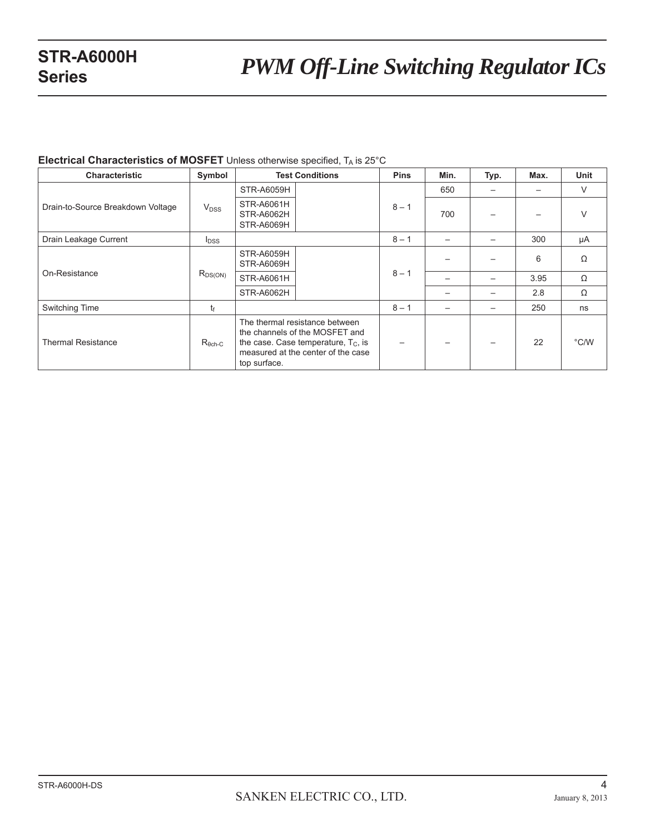# **STR-A6000H**<br>*PWM Off-Line Switching Regulator ICs*

#### **Electrical Characteristics of MOSFET** Unless otherwise specified, T<sub>A</sub> is 25°C

| <b>Characteristic</b>             | Symbol                 | <b>Test Conditions</b>                                                                                                                                           |  | <b>Pins</b> | Min. | Typ. | Max. | <b>Unit</b>   |
|-----------------------------------|------------------------|------------------------------------------------------------------------------------------------------------------------------------------------------------------|--|-------------|------|------|------|---------------|
|                                   | <b>V<sub>DSS</sub></b> | <b>STR-A6059H</b>                                                                                                                                                |  | $8 - 1$     | 650  |      |      | $\vee$        |
| Drain-to-Source Breakdown Voltage |                        | STR-A6061H<br><b>STR-A6062H</b><br>STR-A6069H                                                                                                                    |  |             | 700  |      |      | V             |
| Drain Leakage Current             | $I_{DSS}$              |                                                                                                                                                                  |  | $8 - 1$     |      |      | 300  | μA            |
|                                   |                        | STR-A6059H<br>STR-A6069H                                                                                                                                         |  | $8 - 1$     |      |      | 6    | Ω             |
| On-Resistance                     | $R_{DS(ON)}$           | <b>STR-A6061H</b>                                                                                                                                                |  |             |      |      | 3.95 | Ω             |
|                                   |                        | <b>STR-A6062H</b>                                                                                                                                                |  |             |      |      | 2.8  | Ω             |
| Switching Time                    | tғ                     |                                                                                                                                                                  |  | $8 - 1$     |      |      | 250  | ns            |
| <b>Thermal Resistance</b>         | $R_{\theta ch-C}$      | The thermal resistance between<br>the channels of the MOSFET and<br>the case. Case temperature, $T_c$ , is<br>measured at the center of the case<br>top surface. |  |             |      |      | 22   | $\degree$ C/W |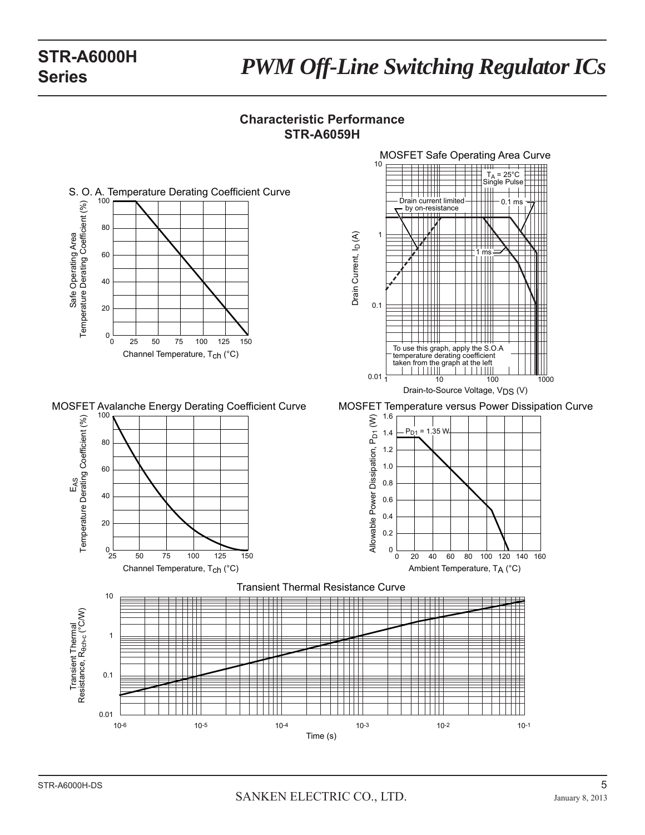# *PWM Off-Line Switching Regulator ICs* **STR-A6000H**

### **Characteristic Performance STR-A6059H**

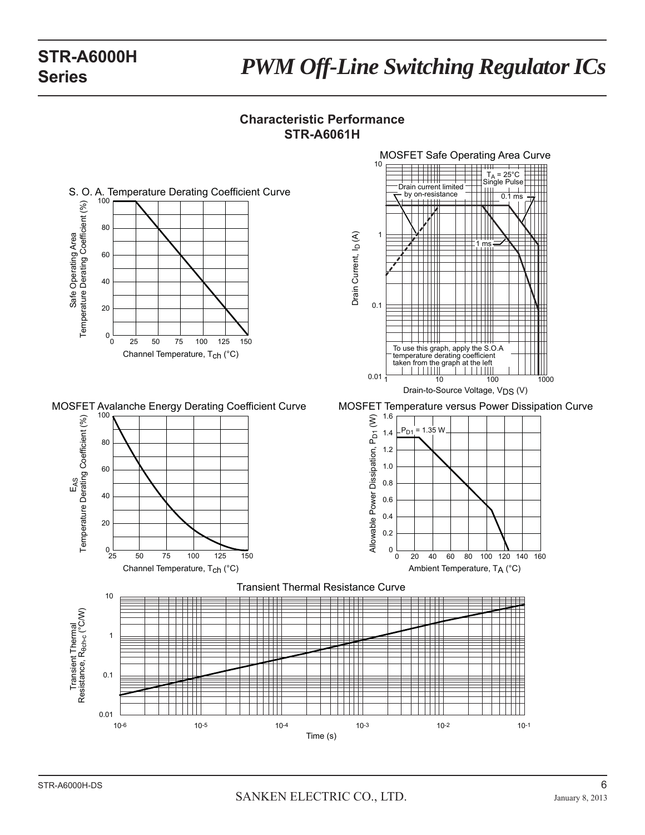# *PWM Off-Line Switching Regulator ICs* **STR-A6000H**

### **Characteristic Performance STR-A6061H**

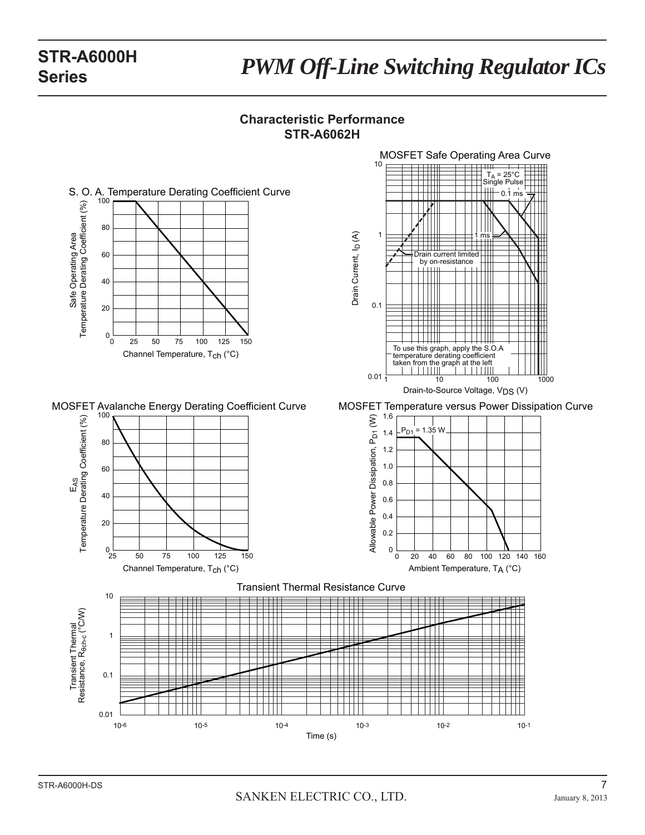# *PWM Off-Line Switching Regulator ICs* **STR-A6000H**

### **Characteristic Performance STR-A6062H**

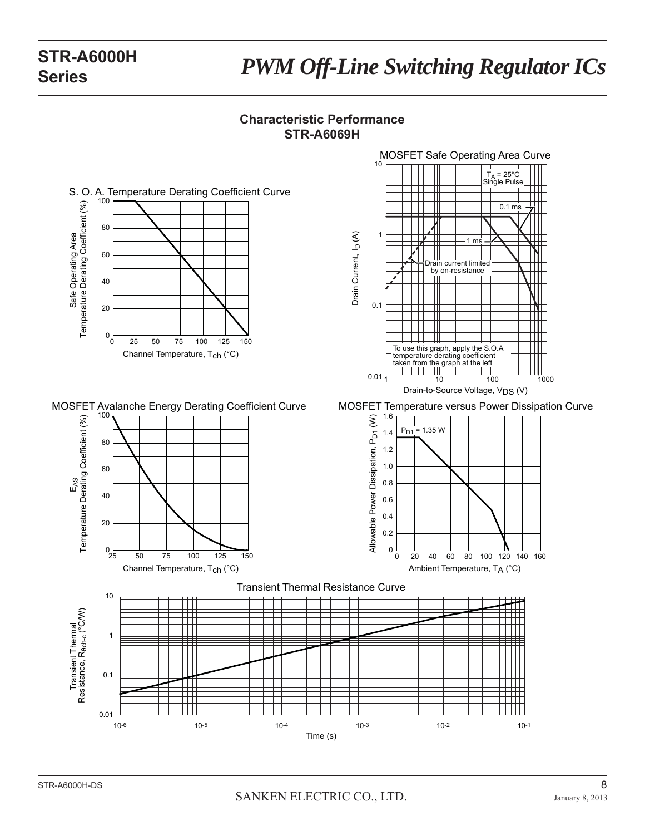# *PWM Off-Line Switching Regulator ICs* **STR-A6000H**

### **Characteristic Performance STR-A6069H**

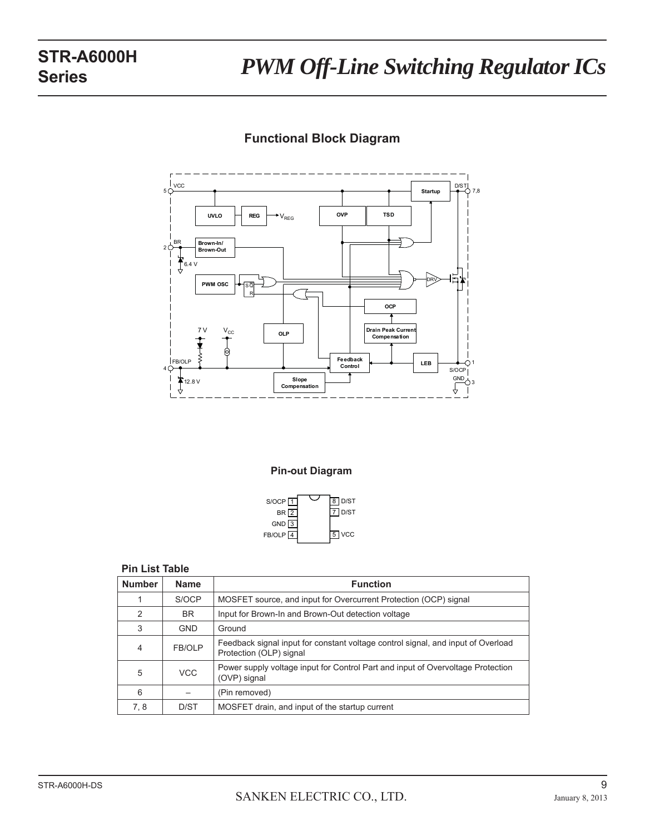

### **Functional Block Diagram**

#### **Pin-out Diagram**



### **Pin List Table**

| <b>Number</b> | <b>Name</b> | <b>Function</b>                                                                                             |
|---------------|-------------|-------------------------------------------------------------------------------------------------------------|
|               | S/OCP       | MOSFET source, and input for Overcurrent Protection (OCP) signal                                            |
| 2             | BR.         | Input for Brown-In and Brown-Out detection voltage                                                          |
| 3             | <b>GND</b>  | Ground                                                                                                      |
| 4             | FB/OLP      | Feedback signal input for constant voltage control signal, and input of Overload<br>Protection (OLP) signal |
| 5             | <b>VCC</b>  | Power supply voltage input for Control Part and input of Overvoltage Protection<br>(OVP) signal             |
| 6             |             | (Pin removed)                                                                                               |
| 7, 8          | D/ST        | MOSFET drain, and input of the startup current                                                              |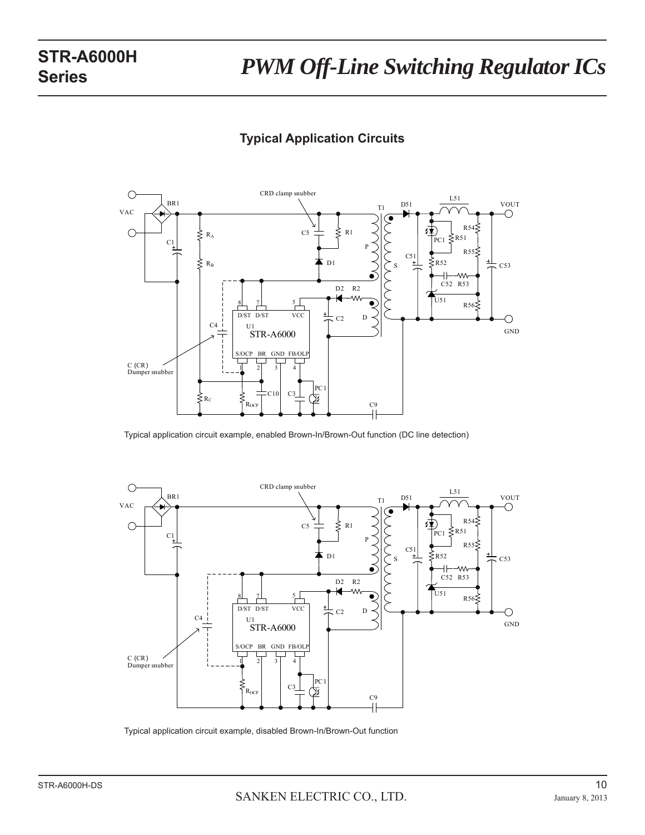## **Typical Application Circuits**



Typical application circuit example, enabled Brown-In/Brown-Out function (DC line detection)



Typical application circuit example, disabled Brown-In/Brown-Out function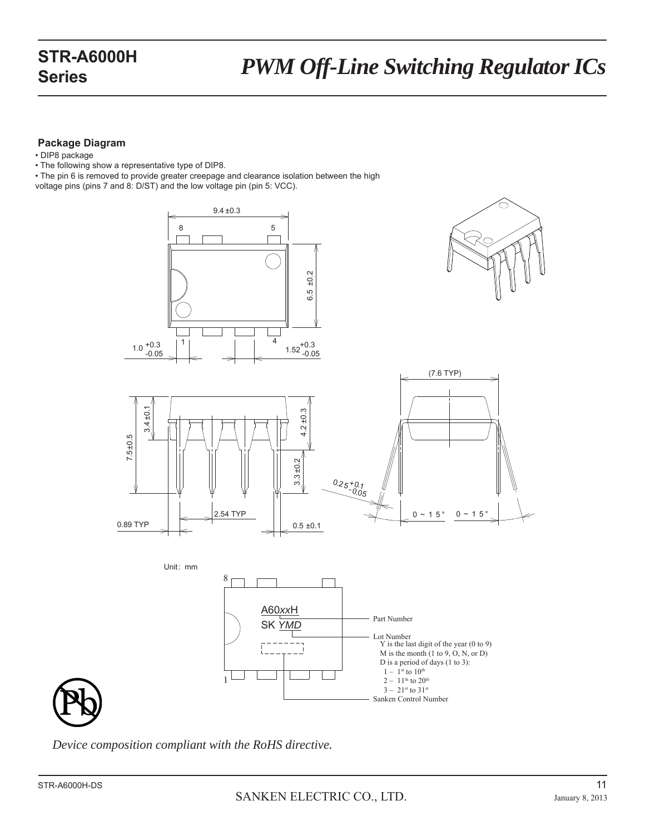### **Package Diagram**

- DIP8 package
- The following show a representative type of DIP8.
- The pin 6 is removed to provide greater creepage and clearance isolation between the high
- voltage pins (pins 7 and 8: D/ST) and the low voltage pin (pin 5: VCC).





*Device composition compliant with the RoHS directive.*

1

Ī

 $i = -$ 

 $-$ 

Sanken Control Number

 $1 - 1$ <sup>st</sup> to  $10^{th}$  $2-11^{\rm th}$  to  $20^{\rm th}$  $3 - 21$ st to  $31$ st

M is the month (1 to 9, O, N, or D) D is a period of days (1 to 3):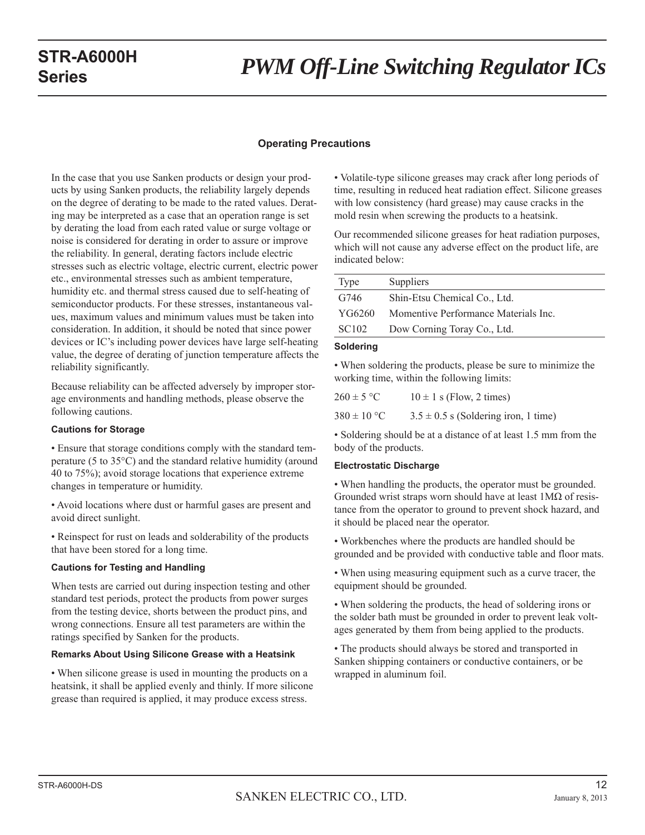# *PWM Off-Line Switching Regulator ICs* **STR-A6000H**

#### **Operating Precautions**

In the case that you use Sanken products or design your products by using Sanken products, the reliability largely depends on the degree of derating to be made to the rated values. Derating may be interpreted as a case that an operation range is set by derating the load from each rated value or surge voltage or noise is considered for derating in order to assure or improve the reliability. In general, derating factors include electric stresses such as electric voltage, electric current, electric power etc., environmental stresses such as ambient temperature, humidity etc. and thermal stress caused due to self-heating of semiconductor products. For these stresses, instantaneous values, maximum values and minimum values must be taken into consideration. In addition, it should be noted that since power devices or IC's including power devices have large self-heating value, the degree of derating of junction temperature affects the reliability significantly.

Because reliability can be affected adversely by improper storage environments and handling methods, please observe the following cautions.

#### **Cautions for Storage**

• Ensure that storage conditions comply with the standard temperature (5 to 35°C) and the standard relative humidity (around 40 to 75%); avoid storage locations that experience extreme changes in temperature or humidity.

• Avoid locations where dust or harmful gases are present and avoid direct sunlight.

• Reinspect for rust on leads and solderability of the products that have been stored for a long time.

#### **Cautions for Testing and Handling**

When tests are carried out during inspection testing and other standard test periods, protect the products from power surges from the testing device, shorts between the product pins, and wrong connections. Ensure all test parameters are within the ratings specified by Sanken for the products.

#### **Remarks About Using Silicone Grease with a Heatsink**

• When silicone grease is used in mounting the products on a heatsink, it shall be applied evenly and thinly. If more silicone grease than required is applied, it may produce excess stress.

• Volatile-type silicone greases may crack after long periods of time, resulting in reduced heat radiation effect. Silicone greases with low consistency (hard grease) may cause cracks in the mold resin when screwing the products to a heatsink.

Our recommended silicone greases for heat radiation purposes, which will not cause any adverse effect on the product life, are indicated below:

| Type              | Suppliers                            |
|-------------------|--------------------------------------|
| G746              | Shin-Etsu Chemical Co., Ltd.         |
| YG6260            | Momentive Performance Materials Inc. |
| SC <sub>102</sub> | Dow Corning Toray Co., Ltd.          |
| Soldering         |                                      |

### • When soldering the products, please be sure to minimize the working time, within the following limits:

| $260 \pm 5$ °C  | $10 \pm 1$ s (Flow, 2 times)             |
|-----------------|------------------------------------------|
| $380 \pm 10$ °C | $3.5 \pm 0.5$ s (Soldering iron, 1 time) |

• Soldering should be at a distance of at least 1.5 mm from the body of the products.

#### **Electrostatic Discharge**

• When handling the products, the operator must be grounded. Grounded wrist straps worn should have at least 1MΩ of resistance from the operator to ground to prevent shock hazard, and it should be placed near the operator.

• Workbenches where the products are handled should be grounded and be provided with conductive table and floor mats.

• When using measuring equipment such as a curve tracer, the equipment should be grounded.

• When soldering the products, the head of soldering irons or the solder bath must be grounded in order to prevent leak voltages generated by them from being applied to the products.

• The products should always be stored and transported in Sanken shipping containers or conductive containers, or be wrapped in aluminum foil.